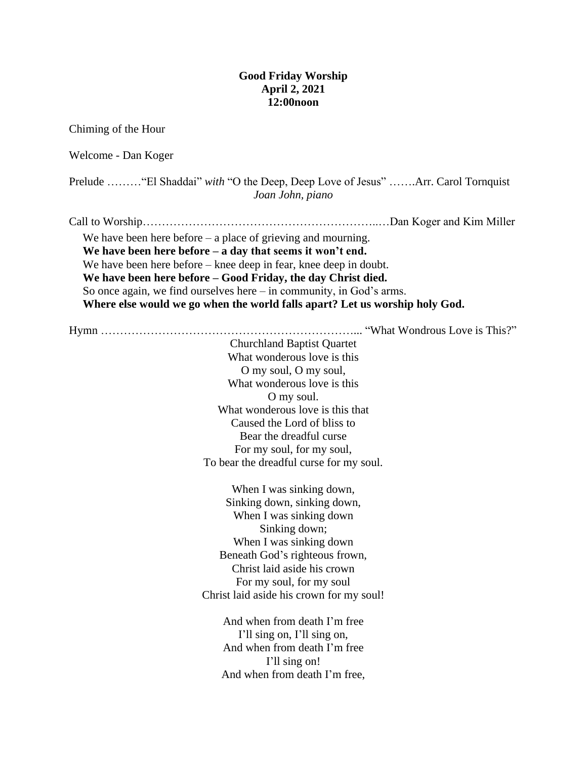## **Good Friday Worship April 2, 2021 12:00noon**

Chiming of the Hour Welcome - Dan Koger Prelude ………"El Shaddai" *with* "O the Deep, Deep Love of Jesus" …….Arr. Carol Tornquist *Joan John, piano* Call to Worship……………………………………………………..…Dan Koger and Kim Miller We have been here before – a place of grieving and mourning. **We have been here before – a day that seems it won't end.**  We have been here before – knee deep in fear, knee deep in doubt. **We have been here before – Good Friday, the day Christ died.** So once again, we find ourselves here – in community, in God's arms. **Where else would we go when the world falls apart? Let us worship holy God.** Hymn …………………………………………………………... "What Wondrous Love is This?" Churchland Baptist Quartet What wonderous love is this O my soul, O my soul, What wonderous love is this O my soul. What wonderous love is this that Caused the Lord of bliss to Bear the dreadful curse For my soul, for my soul, To bear the dreadful curse for my soul. When I was sinking down, Sinking down, sinking down, When I was sinking down Sinking down; When I was sinking down Beneath God's righteous frown, Christ laid aside his crown For my soul, for my soul Christ laid aside his crown for my soul! And when from death I'm free I'll sing on, I'll sing on, And when from death I'm free I'll sing on! And when from death I'm free,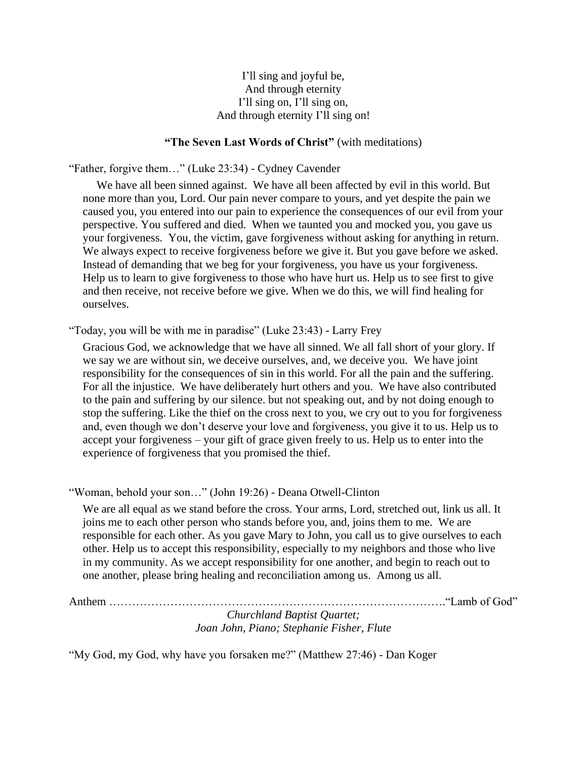# I'll sing and joyful be, And through eternity I'll sing on, I'll sing on, And through eternity I'll sing on!

# **"The Seven Last Words of Christ"** (with meditations)

"Father, forgive them…" (Luke 23:34) - Cydney Cavender

We have all been sinned against. We have all been affected by evil in this world. But none more than you, Lord. Our pain never compare to yours, and yet despite the pain we caused you, you entered into our pain to experience the consequences of our evil from your perspective. You suffered and died. When we taunted you and mocked you, you gave us your forgiveness. You, the victim, gave forgiveness without asking for anything in return. We always expect to receive forgiveness before we give it. But you gave before we asked. Instead of demanding that we beg for your forgiveness, you have us your forgiveness. Help us to learn to give forgiveness to those who have hurt us. Help us to see first to give and then receive, not receive before we give. When we do this, we will find healing for ourselves.

"Today, you will be with me in paradise" (Luke 23:43) - Larry Frey

Gracious God, we acknowledge that we have all sinned. We all fall short of your glory. If we say we are without sin, we deceive ourselves, and, we deceive you. We have joint responsibility for the consequences of sin in this world. For all the pain and the suffering. For all the injustice. We have deliberately hurt others and you. We have also contributed to the pain and suffering by our silence. but not speaking out, and by not doing enough to stop the suffering. Like the thief on the cross next to you, we cry out to you for forgiveness and, even though we don't deserve your love and forgiveness, you give it to us. Help us to accept your forgiveness – your gift of grace given freely to us. Help us to enter into the experience of forgiveness that you promised the thief.

"Woman, behold your son…" (John 19:26) - Deana Otwell-Clinton

We are all equal as we stand before the cross. Your arms, Lord, stretched out, link us all. It joins me to each other person who stands before you, and, joins them to me. We are responsible for each other. As you gave Mary to John, you call us to give ourselves to each other. Help us to accept this responsibility, especially to my neighbors and those who live in my community. As we accept responsibility for one another, and begin to reach out to one another, please bring healing and reconciliation among us. Among us all.

Anthem ……………………………………………………………………………."Lamb of God" *Churchland Baptist Quartet; Joan John, Piano; Stephanie Fisher, Flute*

"My God, my God, why have you forsaken me?" (Matthew 27:46) - Dan Koger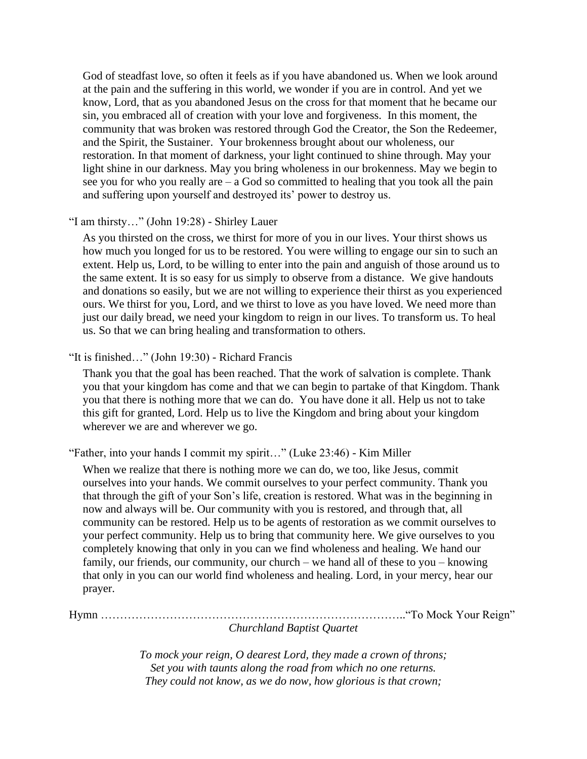God of steadfast love, so often it feels as if you have abandoned us. When we look around at the pain and the suffering in this world, we wonder if you are in control. And yet we know, Lord, that as you abandoned Jesus on the cross for that moment that he became our sin, you embraced all of creation with your love and forgiveness. In this moment, the community that was broken was restored through God the Creator, the Son the Redeemer, and the Spirit, the Sustainer. Your brokenness brought about our wholeness, our restoration. In that moment of darkness, your light continued to shine through. May your light shine in our darkness. May you bring wholeness in our brokenness. May we begin to see you for who you really are  $-$  a God so committed to healing that you took all the pain and suffering upon yourself and destroyed its' power to destroy us.

## "I am thirsty…" (John 19:28) - Shirley Lauer

As you thirsted on the cross, we thirst for more of you in our lives. Your thirst shows us how much you longed for us to be restored. You were willing to engage our sin to such an extent. Help us, Lord, to be willing to enter into the pain and anguish of those around us to the same extent. It is so easy for us simply to observe from a distance. We give handouts and donations so easily, but we are not willing to experience their thirst as you experienced ours. We thirst for you, Lord, and we thirst to love as you have loved. We need more than just our daily bread, we need your kingdom to reign in our lives. To transform us. To heal us. So that we can bring healing and transformation to others.

### "It is finished…" (John 19:30) - Richard Francis

Thank you that the goal has been reached. That the work of salvation is complete. Thank you that your kingdom has come and that we can begin to partake of that Kingdom. Thank you that there is nothing more that we can do. You have done it all. Help us not to take this gift for granted, Lord. Help us to live the Kingdom and bring about your kingdom wherever we are and wherever we go.

"Father, into your hands I commit my spirit…" (Luke 23:46) - Kim Miller

When we realize that there is nothing more we can do, we too, like Jesus, commit ourselves into your hands. We commit ourselves to your perfect community. Thank you that through the gift of your Son's life, creation is restored. What was in the beginning in now and always will be. Our community with you is restored, and through that, all community can be restored. Help us to be agents of restoration as we commit ourselves to your perfect community. Help us to bring that community here. We give ourselves to you completely knowing that only in you can we find wholeness and healing. We hand our family, our friends, our community, our church – we hand all of these to you – knowing that only in you can our world find wholeness and healing. Lord, in your mercy, hear our prayer.

# Hymn …………………………………………………………………….."To Mock Your Reign" *Churchland Baptist Quartet*

*To mock your reign, O dearest Lord, they made a crown of throns; Set you with taunts along the road from which no one returns. They could not know, as we do now, how glorious is that crown;*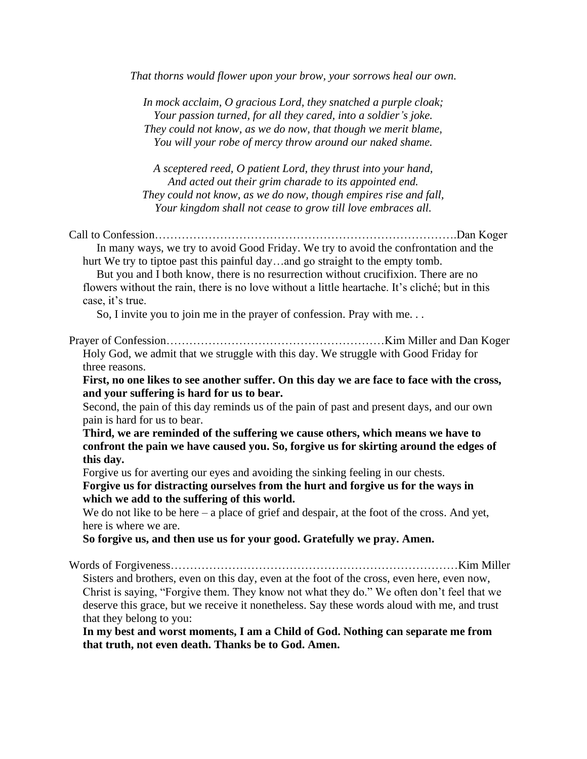*That thorns would flower upon your brow, your sorrows heal our own.*

*In mock acclaim, O gracious Lord, they snatched a purple cloak; Your passion turned, for all they cared, into a soldier's joke. They could not know, as we do now, that though we merit blame, You will your robe of mercy throw around our naked shame.*

*A sceptered reed, O patient Lord, they thrust into your hand, And acted out their grim charade to its appointed end. They could not know, as we do now, though empires rise and fall, Your kingdom shall not cease to grow till love embraces all.*

Call to Confession…………………………………………………………………….Dan Koger In many ways, we try to avoid Good Friday. We try to avoid the confrontation and the hurt We try to tiptoe past this painful day…and go straight to the empty tomb.

But you and I both know, there is no resurrection without crucifixion. There are no flowers without the rain, there is no love without a little heartache. It's cliché; but in this case, it's true.

So, I invite you to join me in the prayer of confession. Pray with me. . .

Prayer of Confession…………………………………………………Kim Miller and Dan Koger Holy God, we admit that we struggle with this day. We struggle with Good Friday for three reasons.

**First, no one likes to see another suffer. On this day we are face to face with the cross, and your suffering is hard for us to bear.**

Second, the pain of this day reminds us of the pain of past and present days, and our own pain is hard for us to bear.

**Third, we are reminded of the suffering we cause others, which means we have to confront the pain we have caused you. So, forgive us for skirting around the edges of this day.**

Forgive us for averting our eyes and avoiding the sinking feeling in our chests. **Forgive us for distracting ourselves from the hurt and forgive us for the ways in which we add to the suffering of this world.** 

We do not like to be here – a place of grief and despair, at the foot of the cross. And yet, here is where we are.

**So forgive us, and then use us for your good. Gratefully we pray. Amen.**

Words of Forgiveness…………………………………………………………………Kim Miller Sisters and brothers, even on this day, even at the foot of the cross, even here, even now, Christ is saying, "Forgive them. They know not what they do." We often don't feel that we deserve this grace, but we receive it nonetheless. Say these words aloud with me, and trust that they belong to you:

**In my best and worst moments, I am a Child of God. Nothing can separate me from that truth, not even death. Thanks be to God. Amen.**